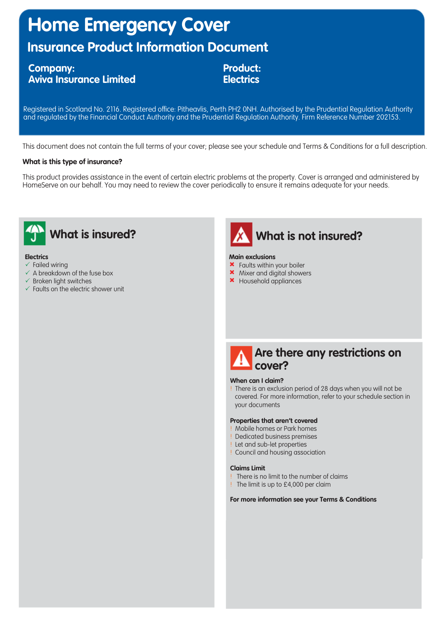# **Home Emergency Cover**

# **Insurance Product Information Document**

### **Company: Aviva Insurance Limited**

**Product: Electrics**

Registered in Scotland No. 2116. Registered office: Pitheavlis, Perth PH2 0NH. Authorised by the Prudential Regulation Authority and regulated by the Financial Conduct Authority and the Prudential Regulation Authority. Firm Reference Number 202153.

This document does not contain the full terms of your cover; please see your schedule and Terms & Conditions for a full description.

### **What is this type of insurance?**

This product provides assistance in the event of certain electric problems at the property. Cover is arranged and administered by HomeServe on our behalf. You may need to review the cover periodically to ensure it remains adequate for your needs.



#### **Electrics**

- $\times$  Failed wiring
- $\checkmark$  A breakdown of the fuse box
- $\checkmark$  Broken light switches
- $\checkmark$  Faults on the electric shower unit



#### **Main exclusions**

- **\*** Faults within your boiler
- \* Mixer and digital showers
- \* Household appliances



#### **When can I claim?**

! There is an exclusion period of 28 days when you will not be covered. For more information, refer to your schedule section in your documents

#### **Properties that aren't covered**

- ! Mobile homes or Park homes
- ! Dedicated business premises
- ! Let and sub-let properties
- ! Council and housing association

#### **Claims Limit**

- ! There is no limit to the number of claims
- ! The limit is up to £4,000 per claim

#### **For more information see your Terms & Conditions**